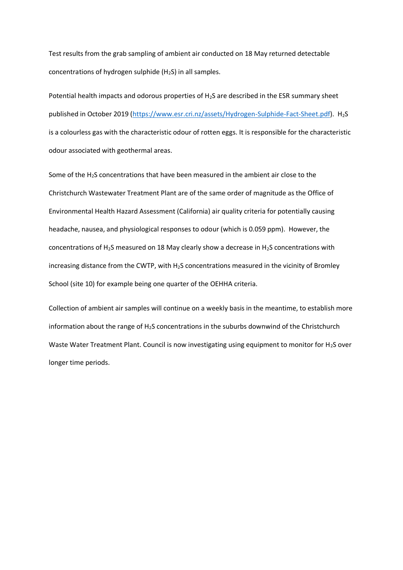Test results from the grab sampling of ambient air conducted on 18 May returned detectable concentrations of hydrogen sulphide  $(H<sub>2</sub>S)$  in all samples.

Potential health impacts and odorous properties of  $H_2S$  are described in the ESR summary sheet published in October 2019 [\(https://www.esr.cri.nz/assets/Hydrogen-Sulphide-Fact-Sheet.pdf\)](https://urldefense.com/v3/__https:/www.esr.cri.nz/assets/Hydrogen-Sulphide-Fact-Sheet.pdf__;!!B5cixuoO7ltTeg!BeT2smsRCwz_zIGShuUkMLDDTCijtmevAJY05bQo0bmzMpjzdYqyCJ9WntoxtswGixi4Z6YmLGOZ6m8FHD9RuCBFnHvV2A$). H<sub>2</sub>S is a colourless gas with the characteristic odour of rotten eggs. It is responsible for the characteristic odour associated with geothermal areas.

Some of the  $H<sub>2</sub>S$  concentrations that have been measured in the ambient air close to the Christchurch Wastewater Treatment Plant are of the same order of magnitude as the Office of Environmental Health Hazard Assessment (California) air quality criteria for potentially causing headache, nausea, and physiological responses to odour (which is 0.059 ppm). However, the concentrations of  $H_2S$  measured on 18 May clearly show a decrease in  $H_2S$  concentrations with increasing distance from the CWTP, with H<sub>2</sub>S concentrations measured in the vicinity of Bromley School (site 10) for example being one quarter of the OEHHA criteria.

Collection of ambient air samples will continue on a weekly basis in the meantime, to establish more information about the range of  $H_2S$  concentrations in the suburbs downwind of the Christchurch Waste Water Treatment Plant. Council is now investigating using equipment to monitor for H<sub>2</sub>S over longer time periods.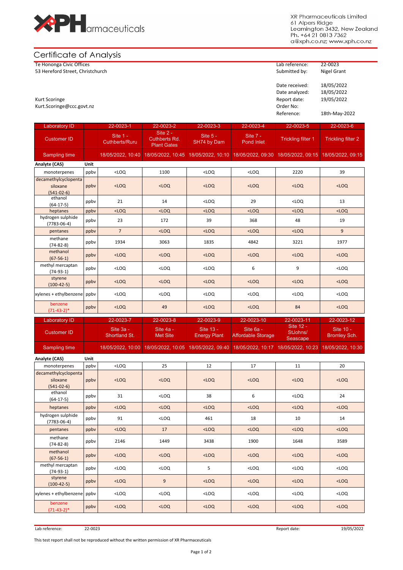

XR Pharmaceuticals Limited 61 Alpers Ridge Leamington 3432, New Zealand<br>Ph. +64 21 0813 7362 a@xph.co.nz; www.xph.co.nz

# Certificate of Analysis

Te Hononga Civic Offices Lab reference: 22-0023 53 Hereford Street, Christchurch

## Date received: 18/05/2022 Date analyzed: 18/05/2022<br>Report date: 19/05/2022 Kurt Scoringe **Report date:** 19/05/2022 **Report date:** 19/05/2022 Kurt.Scoringe@ccc.govt.nz Order No: Reference: 18th-May-2022

| <b>Laboratory ID</b>                             |      | 22-0023-1                         | 22-0023-2                                       | 22-0023-3                                                                                                  | 22-0023-4                              | 22-0023-5                         | 22-0023-6                        |
|--------------------------------------------------|------|-----------------------------------|-------------------------------------------------|------------------------------------------------------------------------------------------------------------|----------------------------------------|-----------------------------------|----------------------------------|
| <b>Customer ID</b>                               |      | Site 1 -<br><b>Cuthberts/Ruru</b> | Site 2 -<br>Cuthberts Rd.<br><b>Plant Gates</b> | Site 5 -<br>SH74 by Dam                                                                                    | Site 7 -<br><b>Pond Inlet</b>          | <b>Trickling filter 1</b>         | <b>Trickling filter 2</b>        |
| <b>Sampling time</b>                             |      | 18/05/2022, 10:40                 | 18/05/2022, 10:45                               | 18/05/2022, 10:10                                                                                          | 18/05/2022, 09:30                      | 18/05/2022, 09:15                 | 18/05/2022, 09:15                |
| Analyte (CAS)                                    | Unit |                                   |                                                 |                                                                                                            |                                        |                                   |                                  |
| monoterpenes                                     | ppbv | $<$ LOQ                           | 1100                                            | $<$ LOQ                                                                                                    | $<$ LOQ                                | 2220                              | 39                               |
| decamethylcyclopenta                             |      |                                   |                                                 |                                                                                                            |                                        |                                   |                                  |
| siloxane<br>$(541-02-6)$                         | ppby | $<$ LOQ                           | $<$ LOQ                                         | $<$ LOQ                                                                                                    | $<$ LOQ                                | $<$ LOQ                           | $<$ LOQ                          |
| ethanol<br>$(64-17-5)$                           | ppby | 21                                | 14                                              | $<$ LOQ                                                                                                    | 29                                     | $<$ LOQ                           | 13                               |
| heptanes                                         | ppby | $<$ LOQ                           | $<$ LOQ                                         | $<$ LOQ                                                                                                    | $<$ LOQ                                | $<$ LOQ                           | $<$ LOQ                          |
| hydrogen sulphide<br>$(7783 - 06 - 4)$           | ppby | 23                                | 172                                             | 39                                                                                                         | 368                                    | 48                                | 19                               |
| pentanes                                         | ppby | $\overline{7}$                    | $<$ LOQ                                         | $<$ LOQ                                                                                                    | $<$ LOQ                                | $<$ LOQ                           | 9                                |
| methane<br>$(74-82-8)$                           | ppby | 1934                              | 3063                                            | 1835                                                                                                       | 4842                                   | 3221                              | 1977                             |
| methanol<br>$(67-56-1)$                          | ppbv | $<$ LOQ                           | $<$ LOQ                                         | $<$ LOQ                                                                                                    | $<$ LOQ                                | $<$ LOQ                           | $<$ LOQ                          |
| methyl mercaptan<br>$(74-93-1)$                  | ppby | $<$ LOQ                           | $<$ LOQ                                         | $<$ LOQ                                                                                                    | 6                                      | 9                                 | $<$ LOQ                          |
| styrene<br>$(100-42-5)$                          | ppby | $<$ LOQ                           | $<$ LOQ                                         | $<$ LOQ                                                                                                    | $<$ LOQ                                | $<$ LOQ                           | $<$ LOQ                          |
| xylenes + ethylbenzene                           | ppby | $<$ LOQ                           | $<$ LOQ                                         | $<$ LOQ                                                                                                    | $<$ LOQ                                | $<$ LOQ                           | $<$ LOQ                          |
| benzene<br>$(71-43-2)*$                          | ppbv | $<$ LOQ                           | 49                                              | $<$ LOQ                                                                                                    | $<$ LOQ                                | 84                                | $<$ LOQ                          |
|                                                  |      |                                   |                                                 |                                                                                                            |                                        |                                   |                                  |
| <b>Laboratory ID</b>                             |      | 22-0023-7                         | 22-0023-8                                       | 22-0023-9                                                                                                  | 22-0023-10                             | 22-0023-11                        | 22-0023-12                       |
| <b>Customer ID</b>                               |      | Site 3a -<br>Shortland St.        | Site 4a -<br><b>Met Site</b>                    | Site 13 -<br><b>Energy Plant</b>                                                                           | Site 6a -<br><b>Affordable Storage</b> | Site 12 -<br>StJohns/<br>Seascape | Site 10 -<br><b>Bromley Sch.</b> |
| Sampling time                                    |      | 18/05/2022, 10:00                 | 18/05/2022, 10:05                               | 18/05/2022, 09:40                                                                                          | 18/05/2022, 10:17                      | 18/05/2022, 10:23                 | 18/05/2022, 10:30                |
| Analyte (CAS)                                    | Unit |                                   |                                                 |                                                                                                            |                                        |                                   |                                  |
| monoterpenes                                     | ppby | $<$ LOQ                           | 25                                              | 12                                                                                                         | 17                                     | 11                                | 20                               |
| decamethylcyclopenta<br>siloxane<br>$(541-02-6)$ | ppby | $<$ LOQ                           | $<$ LOQ                                         | $<$ LOQ                                                                                                    | $<$ LOQ                                | $<$ LOQ                           | $<$ LOQ                          |
| ethanol<br>$(64-17-5)$                           | ppby | 31                                | $<$ LOQ                                         | 38                                                                                                         | 6                                      | $<$ LOQ                           | 24                               |
| heptanes                                         | ppbv | $<$ LOQ                           | $<$ LOQ                                         | $<$ LOQ                                                                                                    | $<$ LOQ                                | $<$ LOQ                           | $<$ LOQ                          |
| hydrogen sulphide<br>$(7783 - 06 - 4)$           | ppbv | 91                                | $<$ LOQ                                         | 461                                                                                                        | 18                                     | 10                                | 14                               |
| pentanes                                         | ppbv | $<$ LOQ                           | 17                                              | $<$ LOQ                                                                                                    | $<$ LOQ                                | $<$ LOQ                           | $<$ LOQ                          |
| methane<br>$(74-82-8)$                           | ppbv | 2146                              | 1449                                            | 3438                                                                                                       | 1900                                   | 1648                              | 3589                             |
| methanol<br>$(67-56-1)$                          | ppbv | $<$ LOQ                           | $<$ LOQ                                         | $<$ LOQ                                                                                                    | $<$ LOQ                                | $<$ LOQ                           | $<$ LOQ                          |
| methyl mercaptan<br>$(74-93-1)$                  | ppbv | $<$ LOQ                           | $<$ LOQ                                         | 5                                                                                                          | $<$ LOQ                                | $<$ LOQ                           | $<$ LOQ                          |
| styrene<br>$(100-42-5)$                          | ppbv | $<$ LOQ                           | $\boldsymbol{9}$                                | $<$ LOQ                                                                                                    | $<$ LOQ                                | $<$ LOQ                           | $<$ LOQ                          |
| xylenes + ethylbenzene<br>benzene                | ppbv | $<$ LOQ                           | $<$ LOQ                                         | <loq< td=""><td><math>&lt;</math>LOQ</td><td><math>&lt;</math>LOQ</td><td><math>&lt;</math>LOQ</td></loq<> | $<$ LOQ                                | $<$ LOQ                           | $<$ LOQ                          |

This test report shall not be reproduced without the written permission of XR Pharmaceuticals